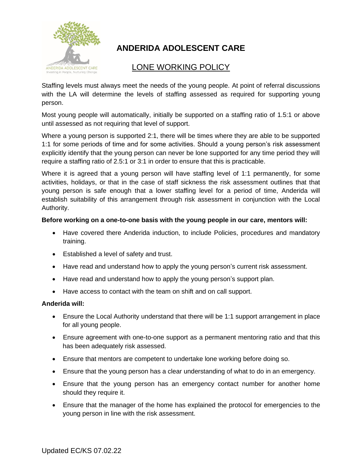

# **ANDERIDA ADOLESCENT CARE**

## LONE WORKING POLICY

Staffing levels must always meet the needs of the young people. At point of referral discussions with the LA will determine the levels of staffing assessed as required for supporting young person.

Most young people will automatically, initially be supported on a staffing ratio of 1.5:1 or above until assessed as not requiring that level of support.

Where a young person is supported 2:1, there will be times where they are able to be supported 1:1 for some periods of time and for some activities. Should a young person's risk assessment explicitly identify that the young person can never be lone supported for any time period they will require a staffing ratio of 2.5:1 or 3:1 in order to ensure that this is practicable.

Where it is agreed that a young person will have staffing level of 1:1 permanently, for some activities, holidays, or that in the case of staff sickness the risk assessment outlines that that young person is safe enough that a lower staffing level for a period of time, Anderida will establish suitability of this arrangement through risk assessment in conjunction with the Local Authority.

#### **Before working on a one-to-one basis with the young people in our care, mentors will:**

- Have covered there Anderida induction, to include Policies, procedures and mandatory training.
- Established a level of safety and trust.
- Have read and understand how to apply the young person's current risk assessment.
- Have read and understand how to apply the young person's support plan.
- Have access to contact with the team on shift and on call support.

### **Anderida will:**

- Ensure the Local Authority understand that there will be 1:1 support arrangement in place for all young people.
- Ensure agreement with one-to-one support as a permanent mentoring ratio and that this has been adequately risk assessed.
- Ensure that mentors are competent to undertake lone working before doing so.
- Ensure that the young person has a clear understanding of what to do in an emergency.
- Ensure that the young person has an emergency contact number for another home should they require it.
- Ensure that the manager of the home has explained the protocol for emergencies to the young person in line with the risk assessment.